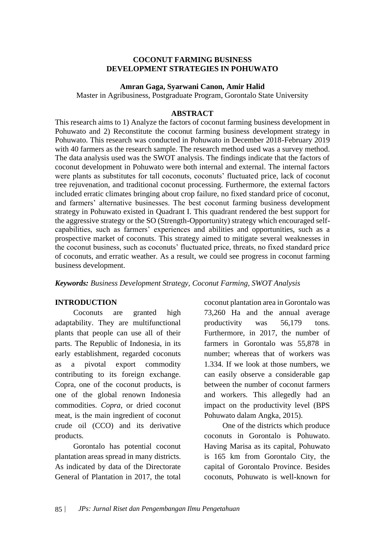### **COCONUT FARMING BUSINESS DEVELOPMENT STRATEGIES IN POHUWATO**

#### **Amran Gaga, Syarwani Canon, Amir Halid**

Master in Agribusiness, Postgraduate Program, Gorontalo State University

#### **ABSTRACT**

This research aims to 1) Analyze the factors of coconut farming business development in Pohuwato and 2) Reconstitute the coconut farming business development strategy in Pohuwato. This research was conducted in Pohuwato in December 2018-February 2019 with 40 farmers as the research sample. The research method used was a survey method. The data analysis used was the SWOT analysis. The findings indicate that the factors of coconut development in Pohuwato were both internal and external. The internal factors were plants as substitutes for tall coconuts, coconuts' fluctuated price, lack of coconut tree rejuvenation, and traditional coconut processing. Furthermore, the external factors included erratic climates bringing about crop failure, no fixed standard price of coconut, and farmers' alternative businesses. The best coconut farming business development strategy in Pohuwato existed in Quadrant I. This quadrant rendered the best support for the aggressive strategy or the SO (Strength-Opportunity) strategy which encouraged selfcapabilities, such as farmers' experiences and abilities and opportunities, such as a prospective market of coconuts. This strategy aimed to mitigate several weaknesses in the coconut business, such as coconuts' fluctuated price, threats, no fixed standard price of coconuts, and erratic weather. As a result, we could see progress in coconut farming business development.

*Keywords: Business Development Strategy, Coconut Farming, SWOT Analysis*

### **INTRODUCTION**

Coconuts are granted high adaptability. They are multifunctional plants that people can use all of their parts. The Republic of Indonesia, in its early establishment, regarded coconuts as a pivotal export commodity contributing to its foreign exchange. Copra, one of the coconut products, is one of the global renown Indonesia commodities. *Copra*, or dried coconut meat, is the main ingredient of coconut crude oil (CCO) and its derivative products.

Gorontalo has potential coconut plantation areas spread in many districts. As indicated by data of the Directorate General of Plantation in 2017, the total

coconut plantation area in Gorontalo was 73,260 Ha and the annual average productivity was 56,179 tons. Furthermore, in 2017, the number of farmers in Gorontalo was 55,878 in number; whereas that of workers was 1.334. If we look at those numbers, we can easily observe a considerable gap between the number of coconut farmers and workers. This allegedly had an impact on the productivity level (BPS Pohuwato dalam Angka, 2015).

One of the districts which produce coconuts in Gorontalo is Pohuwato. Having Marisa as its capital, Pohuwato is 165 km from Gorontalo City, the capital of Gorontalo Province. Besides coconuts, Pohuwato is well-known for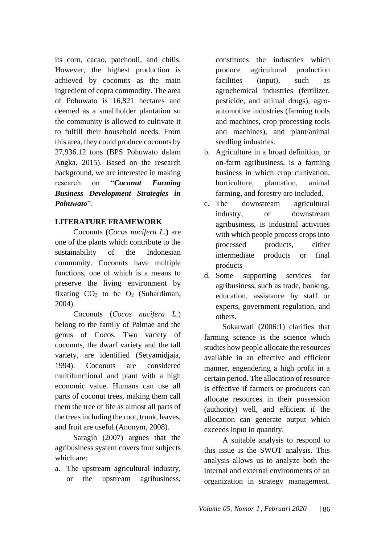its corn, cacao, patchouli, and chilis. However, the highest production is achieved by coconuts as the main ingredient of copra commodity. The area of Pohuwato is 16,821 hectares and deemed as a smallholder plantation so the community is allowed to cultivate it to fulfill their household needs. From this area, they could produce coconuts by 27,936.12 tons (BPS Pohuwato dalam Angka, 2015). Based on the research background, we are interested in making research on "*Coconut Farming Business Development Strategies in Pohuwato*".

# **LITERATURE FRAMEWORK**

Coconuts (*Cocos nucifera L.*) are one of the plants which contribute to the sustainability of the Indonesian community. Coconuts have multiple functions, one of which is a means to preserve the living environment by fixating  $CO<sub>2</sub>$  to be  $O<sub>2</sub>$  (Suhardiman, 2004).

Coconuts (*Cocos nucifera L.*) belong to the family of Palmae and the genus of Cocos. Two variety of coconuts, the dwarf variety and the tall variety, are identified (Setyamidjaja, 1994). Coconuts are considered multifunctional and plant with a high economic value. Humans can use all parts of coconut trees, making them call them the tree of life as almost all parts of the trees including the root, trunk, leaves, and fruit are useful (Anonym, 2008).

Saragih (2007) argues that the agribusiness system covers four subjects which are:

a. The upstream agricultural industry, or the upstream agribusiness, constitutes the industries which produce agricultural production facilities (input), such as agrochemical industries (fertilizer, pesticide, and animal drugs), agroautomotive industries (farming tools and machines, crop processing tools and machines), and plant/animal seedling industries.

- b. Agriculture in a broad definition, or on-farm agribusiness, is a farming business in which crop cultivation, horticulture, plantation, animal farming, and forestry are included.
- c. The downstream agricultural industry, or downstream agribusiness, is industrial activities with which people process crops into processed products, either intermediate products or final products
- d. Some supporting services for agribusiness, such as trade, banking, education, assistance by staff or experts, government regulation, and others.

Sokarwati (2006:1) clarifies that farming science is the science which studies how people allocate the resources available in an effective and efficient manner, engendering a high profit in a certain period. The allocation of resource is effective if farmers or producers can allocate resources in their possession (authority) well, and efficient if the allocation can generate output which exceeds input in quantity.

A suitable analysis to respond to this issue is the SWOT analysis. This analysis allows us to analyze both the internal and external environments of an organization in strategy management.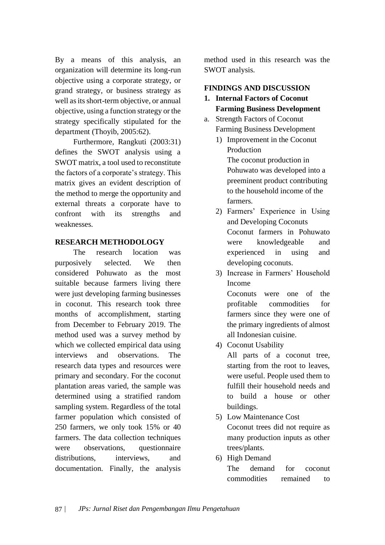By a means of this analysis, an organization will determine its long-run objective using a corporate strategy, or grand strategy, or business strategy as well as its short-term objective, or annual objective, using a function strategy or the strategy specifically stipulated for the department (Thoyib, 2005:62).

Furthermore, Rangkuti (2003:31) defines the SWOT analysis using a SWOT matrix, a tool used to reconstitute the factors of a corporate's strategy. This matrix gives an evident description of the method to merge the opportunity and external threats a corporate have to confront with its strengths and weaknesses.

## **RESEARCH METHODOLOGY**

The research location was purposively selected. We then considered Pohuwato as the most suitable because farmers living there were just developing farming businesses in coconut. This research took three months of accomplishment, starting from December to February 2019. The method used was a survey method by which we collected empirical data using interviews and observations. The research data types and resources were primary and secondary. For the coconut plantation areas varied, the sample was determined using a stratified random sampling system. Regardless of the total farmer population which consisted of 250 farmers, we only took 15% or 40 farmers. The data collection techniques were observations, questionnaire distributions, interviews, and documentation. Finally, the analysis

method used in this research was the SWOT analysis.

## **FINDINGS AND DISCUSSION**

- **1. Internal Factors of Coconut Farming Business Development**
- a. Strength Factors of Coconut Farming Business Development
	- 1) Improvement in the Coconut Production The coconut production in Pohuwato was developed into a preeminent product contributing to the household income of the farmers.
	- 2) Farmers' Experience in Using and Developing Coconuts Coconut farmers in Pohuwato were knowledgeable and experienced in using and developing coconuts.
	- 3) Increase in Farmers' Household Income Coconuts were one of the profitable commodities for farmers since they were one of

the primary ingredients of almost

all Indonesian cuisine. 4) Coconut Usability

> All parts of a coconut tree, starting from the root to leaves, were useful. People used them to fulfill their household needs and to build a house or other buildings.

- 5) Low Maintenance Cost Coconut trees did not require as many production inputs as other trees/plants.
- 6) High Demand

The demand for coconut commodities remained to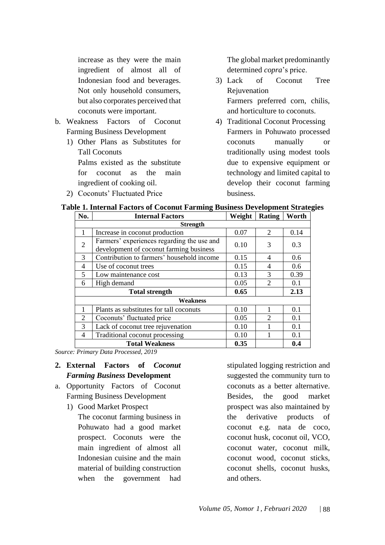increase as they were the main ingredient of almost all of Indonesian food and beverages. Not only household consumers, but also corporates perceived that coconuts were important.

- b. Weakness Factors of Coconut Farming Business Development
	- 1) Other Plans as Substitutes for Tall Coconuts Palms existed as the substitute for coconut as the main ingredient of cooking oil.
	- 2) Coconuts' Fluctuated Price

The global market predominantly determined *copra*'s price.

- 3) Lack of Coconut Tree Rejuvenation Farmers preferred corn, chilis, and horticulture to coconuts.
- 4) Traditional Coconut Processing Farmers in Pohuwato processed coconuts manually or traditionally using modest tools due to expensive equipment or technology and limited capital to develop their coconut farming business.

| No.            | <b>Internal Factors</b>                                                               | Weight | Rating         | Worth |
|----------------|---------------------------------------------------------------------------------------|--------|----------------|-------|
|                | <b>Strength</b>                                                                       |        |                |       |
|                | Increase in coconut production                                                        | 0.07   | 2              | 0.14  |
| 2              | Farmers' experiences regarding the use and<br>development of coconut farming business | 0.10   | 3              | 0.3   |
| 3              | Contribution to farmers' household income                                             | 0.15   | 4              | 0.6   |
| 4              | Use of coconut trees                                                                  | 0.15   | 4              | 0.6   |
| 5              | Low maintenance cost                                                                  | 0.13   | 3              | 0.39  |
| 6              | High demand                                                                           | 0.05   | 2              | 0.1   |
|                | <b>Total strength</b>                                                                 | 0.65   |                | 2.13  |
|                | <b>Weakness</b>                                                                       |        |                |       |
|                | Plants as substitutes for tall coconuts                                               | 0.10   |                | 0.1   |
| $\overline{2}$ | Coconuts' fluctuated price                                                            | 0.05   | $\mathfrak{D}$ | 0.1   |
| 3              | Lack of coconut tree rejuvenation                                                     | 0.10   |                | 0.1   |
| 4              | Traditional coconut processing                                                        | 0.10   |                | 0.1   |
|                | <b>Total Weakness</b>                                                                 | 0.35   |                | 0.4   |

#### **Table 1. Internal Factors of Coconut Farming Business Development Strategies**

*Source: Primary Data Processed, 2019*

- **2. External Factors of** *Coconut Farming Business* **Development**
- a. Opportunity Factors of Coconut Farming Business Development
	- 1) Good Market Prospect

The coconut farming business in Pohuwato had a good market prospect. Coconuts were the main ingredient of almost all Indonesian cuisine and the main material of building construction when the government had

stipulated logging restriction and suggested the community turn to coconuts as a better alternative. Besides, the good market prospect was also maintained by the derivative products of coconut e.g. nata de coco, coconut husk, coconut oil, VCO, coconut water, coconut milk, coconut wood, coconut sticks, coconut shells, coconut husks, and others.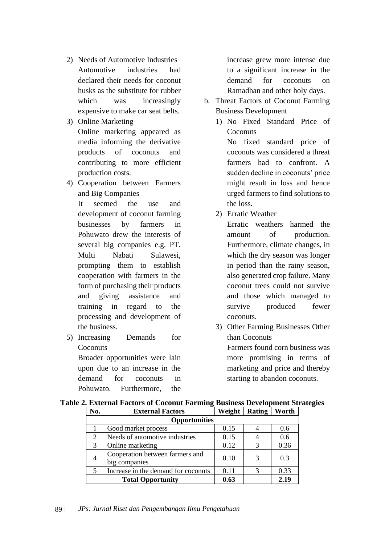- 2) Needs of Automotive Industries Automotive industries had declared their needs for coconut husks as the substitute for rubber which was increasingly expensive to make car seat belts.
- 3) Online Marketing Online marketing appeared as media informing the derivative products of coconuts and contributing to more efficient production costs.
- 4) Cooperation between Farmers and Big Companies

It seemed the use and development of coconut farming businesses by farmers in Pohuwato drew the interests of several big companies e.g. PT. Multi Nabati Sulawesi, prompting them to establish cooperation with farmers in the form of purchasing their products and giving assistance and training in regard to the processing and development of the business.

5) Increasing Demands for **Coconuts** Broader opportunities were lain upon due to an increase in the demand for coconuts in Pohuwato. Furthermore, the

increase grew more intense due to a significant increase in the demand for coconuts on Ramadhan and other holy days.

- b. Threat Factors of Coconut Farming Business Development
	- 1) No Fixed Standard Price of **Coconuts**

No fixed standard price of coconuts was considered a threat farmers had to confront. A sudden decline in coconuts' price might result in loss and hence urged farmers to find solutions to the loss.

2) Erratic Weather

Erratic weathers harmed the amount of production. Furthermore, climate changes, in which the dry season was longer in period than the rainy season, also generated crop failure. Many coconut trees could not survive and those which managed to survive produced fewer coconuts.

3) Other Farming Businesses Other than Coconuts Farmers found corn business was more promising in terms of marketing and price and thereby starting to abandon coconuts.

| No.                      | <b>External Factors</b>                          | Weight | Rating | Worth |
|--------------------------|--------------------------------------------------|--------|--------|-------|
|                          | <b>Opportunities</b>                             |        |        |       |
|                          | Good market process                              | 0.15   |        | 0.6   |
| 2                        | Needs of automotive industries                   | 0.15   |        | 0.6   |
| 3                        | Online marketing                                 | 0.12   | 3      | 0.36  |
| 4                        | Cooperation between farmers and<br>big companies | 0.10   | 3      | 0.3   |
| $\overline{\phantom{1}}$ | Increase in the demand for coconuts              | 0.11   | 3      | 0.33  |
|                          | <b>Total Opportunity</b>                         | 0.63   |        | 2.19  |

### **Table 2. External Factors of Coconut Farming Business Development Strategies**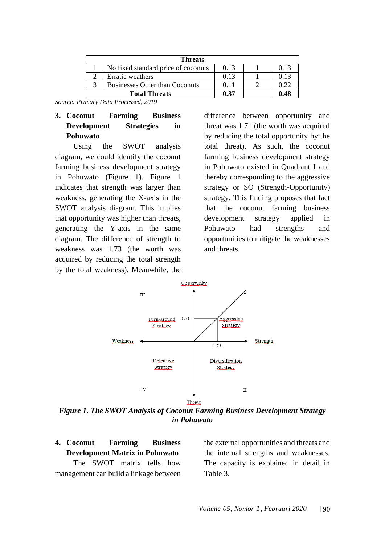| <b>Threats</b>                        |      |      |
|---------------------------------------|------|------|
| No fixed standard price of coconuts   | 0.13 | 0.13 |
| Erratic weathers                      | 0.13 | 0.13 |
| <b>Businesses Other than Coconuts</b> | 0.11 | 0.22 |
| <b>Total Threats</b>                  | 0.37 | 0.48 |

*Source: Primary Data Processed, 2019*

# **3. Coconut Farming Business Development Strategies in Pohuwato**

Using the SWOT analysis diagram, we could identify the coconut farming business development strategy in Pohuwato (Figure 1). Figure 1 indicates that strength was larger than weakness, generating the X-axis in the SWOT analysis diagram. This implies that opportunity was higher than threats, generating the Y-axis in the same diagram. The difference of strength to weakness was 1.73 (the worth was acquired by reducing the total strength by the total weakness). Meanwhile, the difference between opportunity and threat was 1.71 (the worth was acquired by reducing the total opportunity by the total threat). As such, the coconut farming business development strategy in Pohuwato existed in Quadrant I and thereby corresponding to the aggressive strategy or SO (Strength-Opportunity) strategy. This finding proposes that fact that the coconut farming business development strategy applied in Pohuwato had strengths and opportunities to mitigate the weaknesses and threats.



*Figure 1. The SWOT Analysis of Coconut Farming Business Development Strategy in Pohuwato*

**4. Coconut Farming Business Development Matrix in Pohuwato** The SWOT matrix tells how management can build a linkage between the external opportunities and threats and the internal strengths and weaknesses. The capacity is explained in detail in Table 3.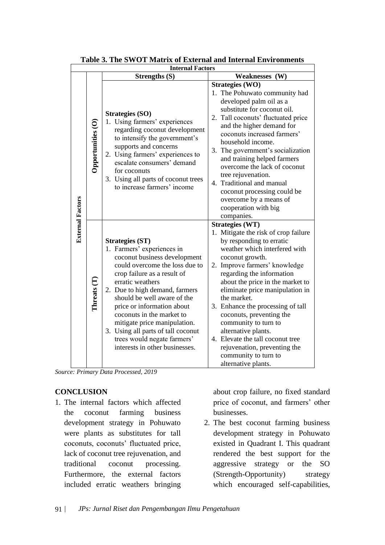|                         |                   | <b>Internal Factors</b>                                                                                                                                                                                                                                                                                                                                                                                                                      |                                                                                                                                                                                                                                                                                                                                                                                                                                                                                                                                       |
|-------------------------|-------------------|----------------------------------------------------------------------------------------------------------------------------------------------------------------------------------------------------------------------------------------------------------------------------------------------------------------------------------------------------------------------------------------------------------------------------------------------|---------------------------------------------------------------------------------------------------------------------------------------------------------------------------------------------------------------------------------------------------------------------------------------------------------------------------------------------------------------------------------------------------------------------------------------------------------------------------------------------------------------------------------------|
|                         |                   | <b>Strengths (S)</b>                                                                                                                                                                                                                                                                                                                                                                                                                         | Weaknesses (W)                                                                                                                                                                                                                                                                                                                                                                                                                                                                                                                        |
|                         | Opportunities (O) | <b>Strategies (SO)</b><br>1. Using farmers' experiences<br>regarding coconut development<br>to intensify the government's<br>supports and concerns<br>2. Using farmers' experiences to<br>escalate consumers' demand<br>for coconuts<br>3. Using all parts of coconut trees<br>to increase farmers' income                                                                                                                                   | Strategies (WO)<br>1. The Pohuwato community had<br>developed palm oil as a<br>substitute for coconut oil.<br>2. Tall coconuts' fluctuated price<br>and the higher demand for<br>coconuts increased farmers'<br>household income.<br>3. The government's socialization<br>and training helped farmers<br>overcome the lack of coconut<br>tree rejuvenation.<br>4. Traditional and manual<br>coconut processing could be<br>overcome by a means of<br>cooperation with big<br>companies.                                               |
| <b>External Factors</b> | Threats (T)       | <b>Strategies (ST)</b><br>1. Farmers' experiences in<br>coconut business development<br>could overcome the loss due to<br>crop failure as a result of<br>erratic weathers<br>2. Due to high demand, farmers<br>should be well aware of the<br>price or information about<br>coconuts in the market to<br>mitigate price manipulation.<br>3. Using all parts of tall coconut<br>trees would negate farmers'<br>interests in other businesses. | <b>Strategies (WT)</b><br>1. Mitigate the risk of crop failure<br>by responding to erratic<br>weather which interfered with<br>coconut growth.<br>2. Improve farmers' knowledge<br>regarding the information<br>about the price in the market to<br>eliminate price manipulation in<br>the market.<br>3. Enhance the processing of tall<br>coconuts, preventing the<br>community to turn to<br>alternative plants.<br>4. Elevate the tall coconut tree<br>rejuvenation, preventing the<br>community to turn to<br>alternative plants. |

| Table 3. The SWOT Matrix of External and Internal Environments |
|----------------------------------------------------------------|
|----------------------------------------------------------------|

*Source: Primary Data Processed, 2019*

# **CONCLUSION**

1. The internal factors which affected the coconut farming business development strategy in Pohuwato were plants as substitutes for tall coconuts, coconuts' fluctuated price, lack of coconut tree rejuvenation, and traditional coconut processing. Furthermore, the external factors included erratic weathers bringing

about crop failure, no fixed standard price of coconut, and farmers' other businesses.

2. The best coconut farming business development strategy in Pohuwato existed in Quadrant I. This quadrant rendered the best support for the aggressive strategy or the SO (Strength-Opportunity) strategy which encouraged self-capabilities,